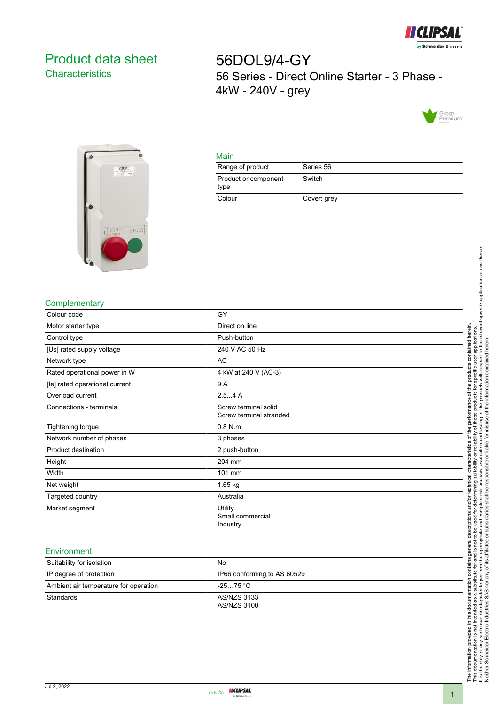

# <span id="page-0-0"></span>Product data sheet **Characteristics**

56DOL9/4-GY 56 Series - Direct Online Starter - 3 Phase - 4kW - 240V - grey





## Main

| Range of product             | Series 56   |
|------------------------------|-------------|
| Product or component<br>type | Switch      |
| Colour                       | Cover: grey |

### **Complementary**

| GY                                              |  |
|-------------------------------------------------|--|
| Direct on line                                  |  |
| Push-button                                     |  |
| 240 V AC 50 Hz                                  |  |
| AC                                              |  |
| 4 kW at 240 V (AC-3)                            |  |
| 9 A                                             |  |
| 2.54A                                           |  |
| Screw terminal solid<br>Screw terminal stranded |  |
| $0.8$ N.m.                                      |  |
| 3 phases                                        |  |
| 2 push-button                                   |  |
| 204 mm                                          |  |
| 101 mm                                          |  |
| 1.65 kg                                         |  |
| Australia                                       |  |
| Utility<br>Small commercial<br>Industry         |  |
|                                                 |  |

#### **Environment**

| Suitability for isolation             | No.                         |
|---------------------------------------|-----------------------------|
| IP degree of protection               | IP66 conforming to AS 60529 |
| Ambient air temperature for operation | -2575 °C                    |
| <b>Standards</b>                      | AS/NZS 3133<br>AS/NZS 3100  |